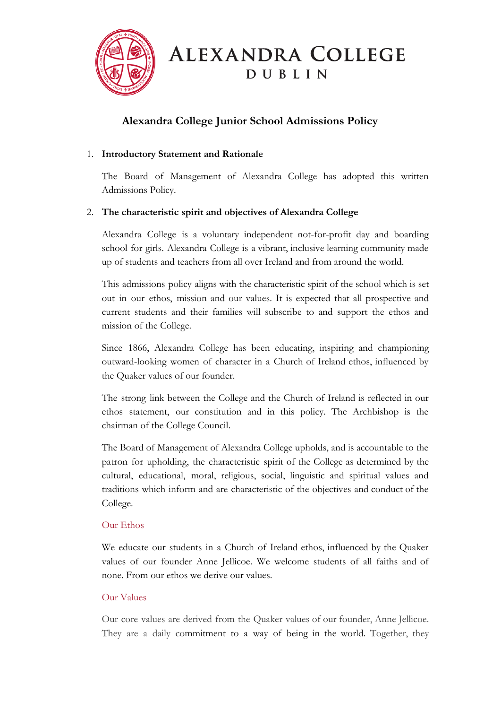

**ALEXANDRA COLLEGE DUBLIN** 

# **Alexandra College Junior School Admissions Policy**

### 1. **Introductory Statement and Rationale**

The Board of Management of Alexandra College has adopted this written Admissions Policy.

### 2. **The characteristic spirit and objectives of Alexandra College**

Alexandra College is a voluntary independent not-for-profit day and boarding school for girls. Alexandra College is a vibrant, inclusive learning community made up of students and teachers from all over Ireland and from around the world.

This admissions policy aligns with the characteristic spirit of the school which is set out in our ethos, mission and our values. It is expected that all prospective and current students and their families will subscribe to and support the ethos and mission of the College.

Since 1866, Alexandra College has been educating, inspiring and championing outward-looking women of character in a Church of Ireland ethos, influenced by the Quaker values of our founder.

The strong link between the College and the Church of Ireland is reflected in our ethos statement, our constitution and in this policy. The Archbishop is the chairman of the College Council.

The Board of Management of Alexandra College upholds, and is accountable to the patron for upholding, the characteristic spirit of the College as determined by the cultural, educational, moral, religious, social, linguistic and spiritual values and traditions which inform and are characteristic of the objectives and conduct of the College.

### Our Ethos

We educate our students in a Church of Ireland ethos, influenced by the Quaker values of our founder Anne Jellicoe. We welcome students of all faiths and of none. From our ethos we derive our values.

### Our Values

Our core values are derived from the Quaker values of our founder, Anne Jellicoe. They are a daily commitment to a way of being in the world. Together, they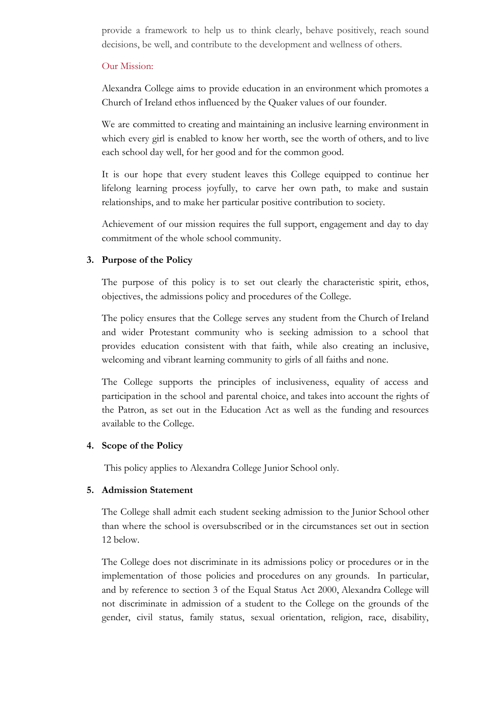provide a framework to help us to think clearly, behave positively, reach sound decisions, be well, and contribute to the development and wellness of others.

#### Our Mission:

Alexandra College aims to provide education in an environment which promotes a Church of Ireland ethos influenced by the Quaker values of our founder.

We are committed to creating and maintaining an inclusive learning environment in which every girl is enabled to know her worth, see the worth of others, and to live each school day well, for her good and for the common good.

It is our hope that every student leaves this College equipped to continue her lifelong learning process joyfully, to carve her own path, to make and sustain relationships, and to make her particular positive contribution to society.

Achievement of our mission requires the full support, engagement and day to day commitment of the whole school community.

#### **3. Purpose of the Policy**

The purpose of this policy is to set out clearly the characteristic spirit, ethos, objectives, the admissions policy and procedures of the College.

The policy ensures that the College serves any student from the Church of Ireland and wider Protestant community who is seeking admission to a school that provides education consistent with that faith, while also creating an inclusive, welcoming and vibrant learning community to girls of all faiths and none.

The College supports the principles of inclusiveness, equality of access and participation in the school and parental choice, and takes into account the rights of the Patron, as set out in the Education Act as well as the funding and resources available to the College.

#### **4. Scope of the Policy**

This policy applies to Alexandra College Junior School only.

#### **5. Admission Statement**

The College shall admit each student seeking admission to the Junior School other than where the school is oversubscribed or in the circumstances set out in section 12 below.

The College does not discriminate in its admissions policy or procedures or in the implementation of those policies and procedures on any grounds. In particular, and by reference to section 3 of the Equal Status Act 2000, Alexandra College will not discriminate in admission of a student to the College on the grounds of the gender, civil status, family status, sexual orientation, religion, race, disability,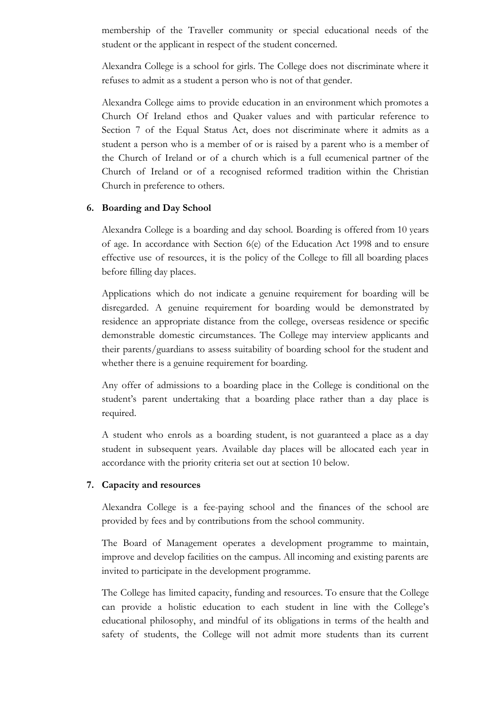membership of the Traveller community or special educational needs of the student or the applicant in respect of the student concerned.

Alexandra College is a school for girls. The College does not discriminate where it refuses to admit as a student a person who is not of that gender.

Alexandra College aims to provide education in an environment which promotes a Church Of Ireland ethos and Quaker values and with particular reference to Section 7 of the Equal Status Act, does not discriminate where it admits as a student a person who is a member of or is raised by a parent who is a member of the Church of Ireland or of a church which is a full ecumenical partner of the Church of Ireland or of a recognised reformed tradition within the Christian Church in preference to others.

#### **6. Boarding and Day School**

Alexandra College is a boarding and day school. Boarding is offered from 10 years of age. In accordance with Section 6(e) of the Education Act 1998 and to ensure effective use of resources, it is the policy of the College to fill all boarding places before filling day places.

Applications which do not indicate a genuine requirement for boarding will be disregarded. A genuine requirement for boarding would be demonstrated by residence an appropriate distance from the college, overseas residence or specific demonstrable domestic circumstances. The College may interview applicants and their parents/guardians to assess suitability of boarding school for the student and whether there is a genuine requirement for boarding.

Any offer of admissions to a boarding place in the College is conditional on the student's parent undertaking that a boarding place rather than a day place is required.

A student who enrols as a boarding student, is not guaranteed a place as a day student in subsequent years. Available day places will be allocated each year in accordance with the priority criteria set out at section 10 below.

### **7. Capacity and resources**

Alexandra College is a fee-paying school and the finances of the school are provided by fees and by contributions from the school community.

The Board of Management operates a development programme to maintain, improve and develop facilities on the campus. All incoming and existing parents are invited to participate in the development programme.

The College has limited capacity, funding and resources. To ensure that the College can provide a holistic education to each student in line with the College's educational philosophy, and mindful of its obligations in terms of the health and safety of students, the College will not admit more students than its current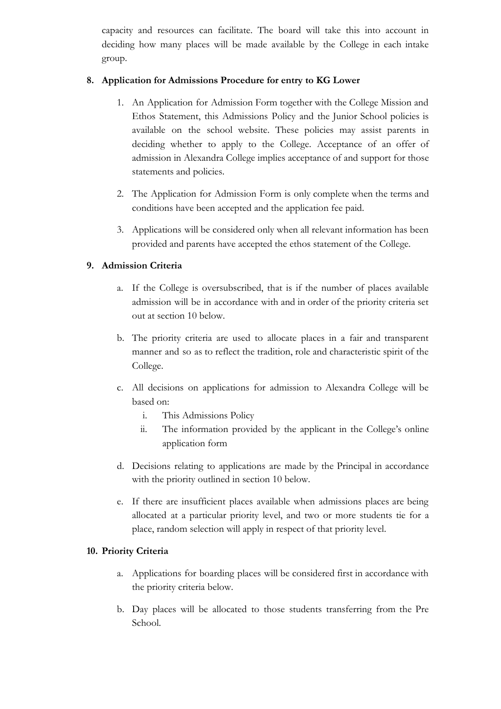capacity and resources can facilitate. The board will take this into account in deciding how many places will be made available by the College in each intake group.

### **8. Application for Admissions Procedure for entry to KG Lower**

- 1. An Application for Admission Form together with the College Mission and Ethos Statement, this Admissions Policy and the Junior School policies is available on the school website. These policies may assist parents in deciding whether to apply to the College. Acceptance of an offer of admission in Alexandra College implies acceptance of and support for those statements and policies.
- 2. The Application for Admission Form is only complete when the terms and conditions have been accepted and the application fee paid.
- 3. Applications will be considered only when all relevant information has been provided and parents have accepted the ethos statement of the College.

### **9. Admission Criteria**

- a. If the College is oversubscribed, that is if the number of places available admission will be in accordance with and in order of the priority criteria set out at section 10 below.
- b. The priority criteria are used to allocate places in a fair and transparent manner and so as to reflect the tradition, role and characteristic spirit of the College.
- c. All decisions on applications for admission to Alexandra College will be based on:
	- i. This Admissions Policy
	- ii. The information provided by the applicant in the College's online application form
- d. Decisions relating to applications are made by the Principal in accordance with the priority outlined in section 10 below.
- e. If there are insufficient places available when admissions places are being allocated at a particular priority level, and two or more students tie for a place, random selection will apply in respect of that priority level.

### **10. Priority Criteria**

- a. Applications for boarding places will be considered first in accordance with the priority criteria below.
- b. Day places will be allocated to those students transferring from the Pre School.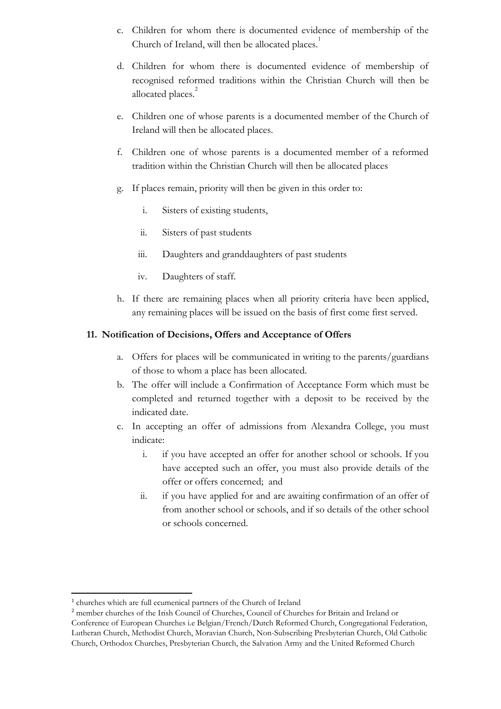- c. Children for whom there is documented evidence of membership of the Church of Ireland, will then be allocated places.<sup>1</sup>
- d. Children for whom there is documented evidence of membership of recognised reformed traditions within the Christian Church will then be allocated places.<sup>2</sup>
- e. Children one of whose parents is a documented member of the Church of Ireland will then be allocated places.
- f. Children one of whose parents is a documented member of a reformed tradition within the Christian Church will then be allocated places
- g. If places remain, priority will then be given in this order to:
	- i. Sisters of existing students,
	- ii. Sisters of past students
	- iii. Daughters and granddaughters of past students
	- iv. Daughters of staff.
- h. If there are remaining places when all priority criteria have been applied, any remaining places will be issued on the basis of first come first served.

#### **11. Notification of Decisions, Offers and Acceptance of Offers**

- a. Offers for places will be communicated in writing to the parents/guardians of those to whom a place has been allocated.
- b. The offer will include a Confirmation of Acceptance Form which must be completed and returned together with a deposit to be received by the indicated date.
- c. In accepting an offer of admissions from Alexandra College, you must indicate:
	- i. if you have accepted an offer for another school or schools. If you have accepted such an offer, you must also provide details of the offer or offers concerned; and
	- ii. if you have applied for and are awaiting confirmation of an offer of from another school or schools, and if so details of the other school or schools concerned.

<sup>1</sup> churches which are full ecumenical partners of the Church of Ireland

<sup>2</sup> member churches of the Irish Council of Churches, Council of Churches for Britain and Ireland or Conference of European Churches i.e Belgian/French/Dutch Reformed Church, Congregational Federation, Lutheran Church, Methodist Church, Moravian Church, Non-Subscribing Presbyterian Church, Old Catholic Church, Orthodox Churches, Presbyterian Church, the Salvation Army and the United Reformed Church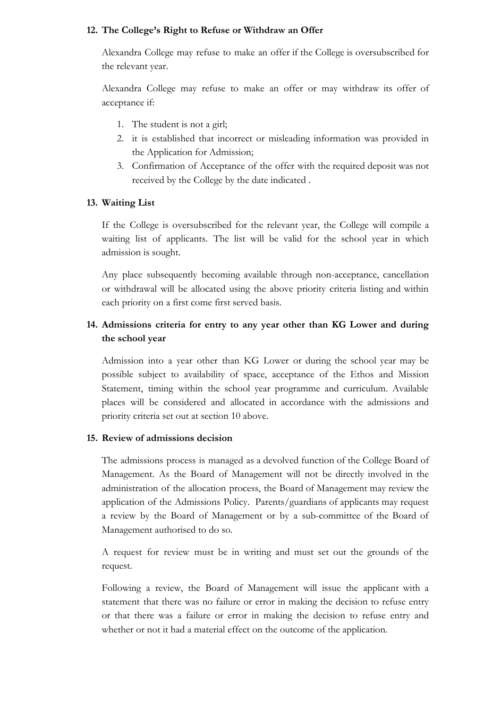#### **12. The College's Right to Refuse or Withdraw an Offer**

Alexandra College may refuse to make an offer if the College is oversubscribed for the relevant year.

Alexandra College may refuse to make an offer or may withdraw its offer of acceptance if:

- 1. The student is not a girl;
- 2. it is established that incorrect or misleading information was provided in the Application for Admission;
- 3. Confirmation of Acceptance of the offer with the required deposit was not received by the College by the date indicated .

#### **13. Waiting List**

If the College is oversubscribed for the relevant year, the College will compile a waiting list of applicants. The list will be valid for the school year in which admission is sought.

Any place subsequently becoming available through non-acceptance, cancellation or withdrawal will be allocated using the above priority criteria listing and within each priority on a first come first served basis.

## **14. Admissions criteria for entry to any year other than KG Lower and during the school year**

Admission into a year other than KG Lower or during the school year may be possible subject to availability of space, acceptance of the Ethos and Mission Statement, timing within the school year programme and curriculum. Available places will be considered and allocated in accordance with the admissions and priority criteria set out at section 10 above.

#### **15. Review of admissions decision**

The admissions process is managed as a devolved function of the College Board of Management. As the Board of Management will not be directly involved in the administration of the allocation process, the Board of Management may review the application of the Admissions Policy. Parents/guardians of applicants may request a review by the Board of Management or by a sub-committee of the Board of Management authorised to do so.

A request for review must be in writing and must set out the grounds of the request.

Following a review, the Board of Management will issue the applicant with a statement that there was no failure or error in making the decision to refuse entry or that there was a failure or error in making the decision to refuse entry and whether or not it had a material effect on the outcome of the application.